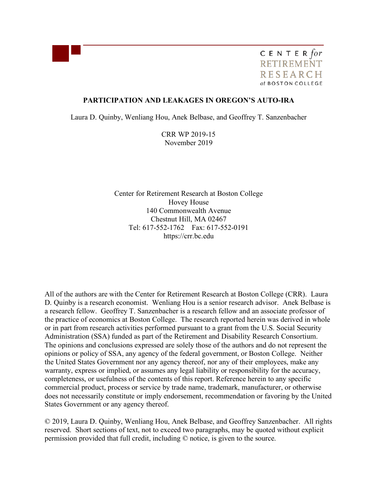

CENTER for **RETIREMENT RESEARCH** at BOSTON COLLEGE

## **PARTICIPATION AND LEAKAGES IN OREGON'S AUTO-IRA**

Laura D. Quinby, Wenliang Hou, Anek Belbase, and Geoffrey T. Sanzenbacher

CRR WP 2019-15 November 2019

Center for Retirement Research at Boston College Hovey House 140 Commonwealth Avenue Chestnut Hill, MA 02467 Tel: 617-552-1762 Fax: 617-552-0191 https://crr.bc.edu

All of the authors are with the Center for Retirement Research at Boston College (CRR). Laura D. Quinby is a research economist. Wenliang Hou is a senior research advisor. Anek Belbase is a research fellow. Geoffrey T. Sanzenbacher is a research fellow and an associate professor of the practice of economics at Boston College. The research reported herein was derived in whole or in part from research activities performed pursuant to a grant from the U.S. Social Security Administration (SSA) funded as part of the Retirement and Disability Research Consortium. The opinions and conclusions expressed are solely those of the authors and do not represent the opinions or policy of SSA, any agency of the federal government, or Boston College. Neither the United States Government nor any agency thereof, nor any of their employees, make any warranty, express or implied, or assumes any legal liability or responsibility for the accuracy, completeness, or usefulness of the contents of this report. Reference herein to any specific commercial product, process or service by trade name, trademark, manufacturer, or otherwise does not necessarily constitute or imply endorsement, recommendation or favoring by the United States Government or any agency thereof.

© 2019, Laura D. Quinby, Wenliang Hou, Anek Belbase, and Geoffrey Sanzenbacher. All rights reserved. Short sections of text, not to exceed two paragraphs, may be quoted without explicit permission provided that full credit, including © notice, is given to the source.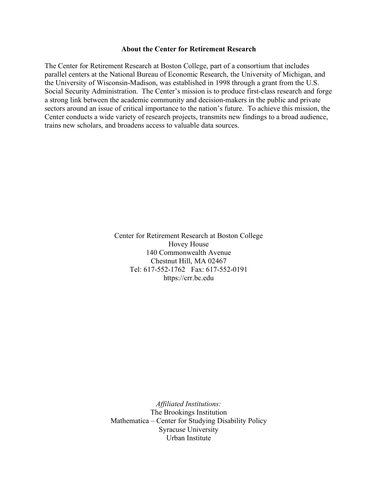#### **About the Center for Retirement Research**

The Center for Retirement Research at Boston College, part of a consortium that includes parallel centers at the National Bureau of Economic Research, the University of Michigan, and the University of Wisconsin-Madison, was established in 1998 through a grant from the U.S. Social Security Administration. The Center's mission is to produce first-class research and forge a strong link between the academic community and decision-makers in the public and private sectors around an issue of critical importance to the nation's future. To achieve this mission, the Center conducts a wide variety of research projects, transmits new findings to a broad audience, trains new scholars, and broadens access to valuable data sources.

> Center for Retirement Research at Boston College Hovey House 140 Commonwealth Avenue Chestnut Hill, MA 02467 Tel: 617-552-1762 Fax: 617-552-0191 https://crr.bc.edu

*Affiliated Institutions:*  The Brookings Institution Mathematica – Center for Studying Disability Policy Syracuse University Urban Institute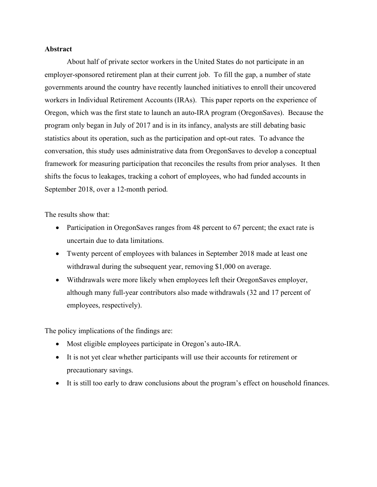## **Abstract**

About half of private sector workers in the United States do not participate in an employer-sponsored retirement plan at their current job. To fill the gap, a number of state governments around the country have recently launched initiatives to enroll their uncovered workers in Individual Retirement Accounts (IRAs). This paper reports on the experience of Oregon, which was the first state to launch an auto-IRA program (OregonSaves). Because the program only began in July of 2017 and is in its infancy, analysts are still debating basic statistics about its operation, such as the participation and opt-out rates. To advance the conversation, this study uses administrative data from OregonSaves to develop a conceptual framework for measuring participation that reconciles the results from prior analyses. It then shifts the focus to leakages, tracking a cohort of employees, who had funded accounts in September 2018, over a 12-month period.

The results show that:

- Participation in OregonSaves ranges from 48 percent to 67 percent; the exact rate is uncertain due to data limitations.
- Twenty percent of employees with balances in September 2018 made at least one withdrawal during the subsequent year, removing \$1,000 on average.
- Withdrawals were more likely when employees left their OregonSaves employer, although many full-year contributors also made withdrawals (32 and 17 percent of employees, respectively).

The policy implications of the findings are:

- Most eligible employees participate in Oregon's auto-IRA.
- It is not yet clear whether participants will use their accounts for retirement or precautionary savings.
- It is still too early to draw conclusions about the program's effect on household finances.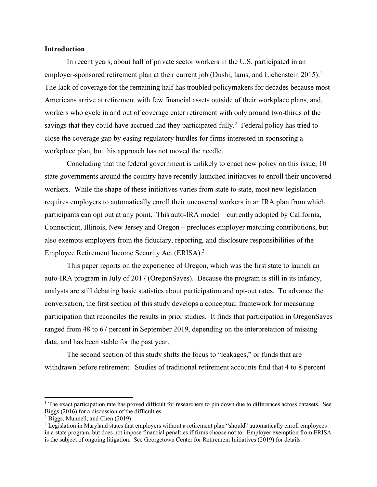### **Introduction**

In recent years, about half of private sector workers in the U.S. participated in an employer-sponsored retirement plan at their current job (Dushi, Iams, and Lichenstein 2015).<sup>1</sup> The lack of coverage for the remaining half has troubled policymakers for decades because most Americans arrive at retirement with few financial assets outside of their workplace plans, and, workers who cycle in and out of coverage enter retirement with only around two-thirds of the savings that they could have accrued had they participated fully.<sup>2</sup> Federal policy has tried to close the coverage gap by easing regulatory hurdles for firms interested in sponsoring a workplace plan, but this approach has not moved the needle.

Concluding that the federal government is unlikely to enact new policy on this issue, 10 state governments around the country have recently launched initiatives to enroll their uncovered workers. While the shape of these initiatives varies from state to state, most new legislation requires employers to automatically enroll their uncovered workers in an IRA plan from which participants can opt out at any point. This auto-IRA model – currently adopted by California, Connecticut, Illinois, New Jersey and Oregon – precludes employer matching contributions, but also exempts employers from the fiduciary, reporting, and disclosure responsibilities of the Employee Retirement Income Security Act (ERISA).3

This paper reports on the experience of Oregon, which was the first state to launch an auto-IRA program in July of 2017 (OregonSaves). Because the program is still in its infancy, analysts are still debating basic statistics about participation and opt-out rates. To advance the conversation, the first section of this study develops a conceptual framework for measuring participation that reconciles the results in prior studies. It finds that participation in OregonSaves ranged from 48 to 67 percent in September 2019, depending on the interpretation of missing data, and has been stable for the past year.

The second section of this study shifts the focus to "leakages," or funds that are withdrawn before retirement. Studies of traditional retirement accounts find that 4 to 8 percent

l

<sup>&</sup>lt;sup>1</sup> The exact participation rate has proved difficult for researchers to pin down due to differences across datasets. See Biggs (2016) for a discussion of the difficulties. 2 Biggs, Munnell, and Chen (2019).

<sup>&</sup>lt;sup>3</sup> Legislation in Maryland states that employers without a retirement plan "should" automatically enroll employees in a state program, but does not impose financial penalties if firms choose not to. Employer exemption from ERISA is the subject of ongoing litigation. See Georgetown Center for Retirement Initiatives (2019) for details.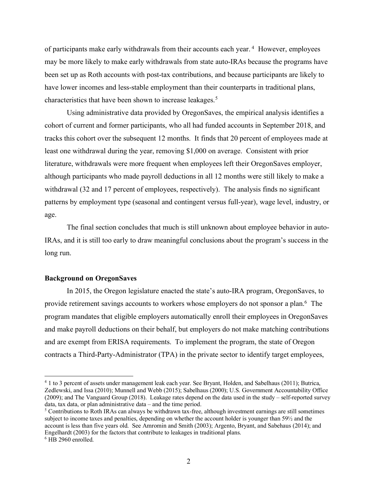of participants make early withdrawals from their accounts each year.<sup>4</sup> However, employees may be more likely to make early withdrawals from state auto-IRAs because the programs have been set up as Roth accounts with post-tax contributions, and because participants are likely to have lower incomes and less-stable employment than their counterparts in traditional plans, characteristics that have been shown to increase leakages.<sup>5</sup>

Using administrative data provided by OregonSaves, the empirical analysis identifies a cohort of current and former participants, who all had funded accounts in September 2018, and tracks this cohort over the subsequent 12 months. It finds that 20 percent of employees made at least one withdrawal during the year, removing \$1,000 on average. Consistent with prior literature, withdrawals were more frequent when employees left their OregonSaves employer, although participants who made payroll deductions in all 12 months were still likely to make a withdrawal (32 and 17 percent of employees, respectively). The analysis finds no significant patterns by employment type (seasonal and contingent versus full-year), wage level, industry, or age.

The final section concludes that much is still unknown about employee behavior in auto-IRAs, and it is still too early to draw meaningful conclusions about the program's success in the long run.

#### **Background on OregonSaves**

In 2015, the Oregon legislature enacted the state's auto-IRA program, OregonSaves, to provide retirement savings accounts to workers whose employers do not sponsor a plan.<sup>6</sup> The program mandates that eligible employers automatically enroll their employees in OregonSaves and make payroll deductions on their behalf, but employers do not make matching contributions and are exempt from ERISA requirements. To implement the program, the state of Oregon contracts a Third-Party-Administrator (TPA) in the private sector to identify target employees,

 $\overline{a}$ 

<sup>4</sup> 1 to 3 percent of assets under management leak each year. See Bryant, Holden, and Sabelhaus (2011); Butrica, Zedlewski, and Issa (2010); Munnell and Webb (2015); Sabelhaus (2000); U.S. Government Accountability Office (2009); and The Vanguard Group (2018). Leakage rates depend on the data used in the study – self-reported survey data, tax data, or plan administrative data – and the time period.

<sup>5</sup> Contributions to Roth IRAs can always be withdrawn tax-free, although investment earnings are still sometimes subject to income taxes and penalties, depending on whether the account holder is younger than 59½ and the account is less than five years old. See Amromin and Smith (2003); Argento, Bryant, and Sabehaus (2014); and Engelhardt (2003) for the factors that contribute to leakages in traditional plans.

<sup>6</sup> HB 2960 enrolled.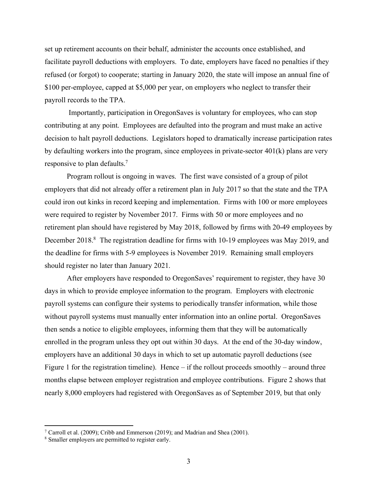set up retirement accounts on their behalf, administer the accounts once established, and facilitate payroll deductions with employers. To date, employers have faced no penalties if they refused (or forgot) to cooperate; starting in January 2020, the state will impose an annual fine of \$100 per-employee, capped at \$5,000 per year, on employers who neglect to transfer their payroll records to the TPA.

Importantly, participation in OregonSaves is voluntary for employees, who can stop contributing at any point. Employees are defaulted into the program and must make an active decision to halt payroll deductions. Legislators hoped to dramatically increase participation rates by defaulting workers into the program, since employees in private-sector  $401(k)$  plans are very responsive to plan defaults. 7

Program rollout is ongoing in waves. The first wave consisted of a group of pilot employers that did not already offer a retirement plan in July 2017 so that the state and the TPA could iron out kinks in record keeping and implementation. Firms with 100 or more employees were required to register by November 2017. Firms with 50 or more employees and no retirement plan should have registered by May 2018, followed by firms with 20-49 employees by December 2018.<sup>8</sup> The registration deadline for firms with 10-19 employees was May 2019, and the deadline for firms with 5-9 employees is November 2019. Remaining small employers should register no later than January 2021.

After employers have responded to OregonSaves' requirement to register, they have 30 days in which to provide employee information to the program. Employers with electronic payroll systems can configure their systems to periodically transfer information, while those without payroll systems must manually enter information into an online portal. OregonSaves then sends a notice to eligible employees, informing them that they will be automatically enrolled in the program unless they opt out within 30 days. At the end of the 30-day window, employers have an additional 30 days in which to set up automatic payroll deductions (see Figure 1 for the registration timeline). Hence – if the rollout proceeds smoothly – around three months elapse between employer registration and employee contributions. Figure 2 shows that nearly 8,000 employers had registered with OregonSaves as of September 2019, but that only

l

<sup>&</sup>lt;sup>7</sup> Carroll et al. (2009); Cribb and Emmerson (2019); and Madrian and Shea (2001).

<sup>8</sup> Smaller employers are permitted to register early.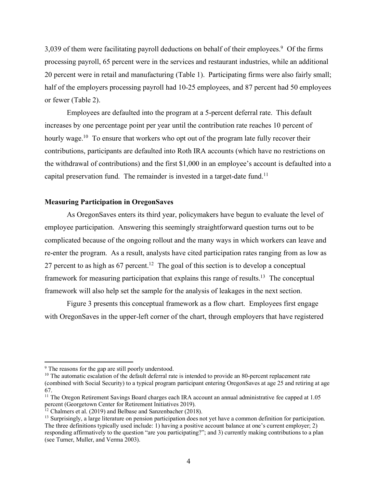3,039 of them were facilitating payroll deductions on behalf of their employees.<sup>9</sup> Of the firms processing payroll, 65 percent were in the services and restaurant industries, while an additional 20 percent were in retail and manufacturing (Table 1). Participating firms were also fairly small; half of the employers processing payroll had 10-25 employees, and 87 percent had 50 employees or fewer (Table 2).

Employees are defaulted into the program at a 5-percent deferral rate. This default increases by one percentage point per year until the contribution rate reaches 10 percent of hourly wage.<sup>10</sup> To ensure that workers who opt out of the program late fully recover their contributions, participants are defaulted into Roth IRA accounts (which have no restrictions on the withdrawal of contributions) and the first \$1,000 in an employee's account is defaulted into a capital preservation fund. The remainder is invested in a target-date fund.<sup>11</sup>

## **Measuring Participation in OregonSaves**

As OregonSaves enters its third year, policymakers have begun to evaluate the level of employee participation. Answering this seemingly straightforward question turns out to be complicated because of the ongoing rollout and the many ways in which workers can leave and re-enter the program. As a result, analysts have cited participation rates ranging from as low as 27 percent to as high as  $67$  percent.<sup>12</sup> The goal of this section is to develop a conceptual framework for measuring participation that explains this range of results.<sup>13</sup> The conceptual framework will also help set the sample for the analysis of leakages in the next section.

Figure 3 presents this conceptual framework as a flow chart. Employees first engage with OregonSaves in the upper-left corner of the chart, through employers that have registered

 $\overline{a}$ 

<sup>&</sup>lt;sup>9</sup> The reasons for the gap are still poorly understood.

<sup>&</sup>lt;sup>10</sup> The automatic escalation of the default deferral rate is intended to provide an 80-percent replacement rate (combined with Social Security) to a typical program participant entering OregonSaves at age 25 and retiring at age 67.

<sup>11</sup> The Oregon Retirement Savings Board charges each IRA account an annual administrative fee capped at 1.05 percent (Georgetown Center for Retirement Initiatives 2019).

<sup>&</sup>lt;sup>12</sup> Chalmers et al. (2019) and Belbase and Sanzenbacher (2018).

<sup>&</sup>lt;sup>13</sup> Surprisingly, a large literature on pension participation does not yet have a common definition for participation. The three definitions typically used include: 1) having a positive account balance at one's current employer; 2) responding affirmatively to the question "are you participating?"; and 3) currently making contributions to a plan (see Turner, Muller, and Verma 2003).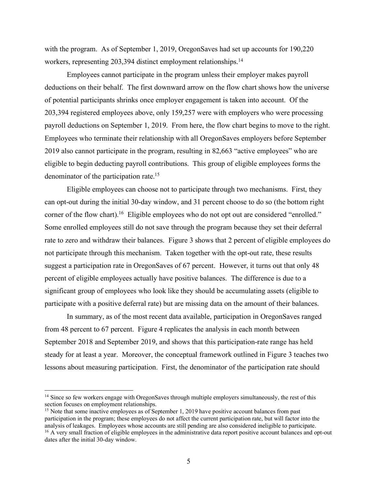with the program. As of September 1, 2019, OregonSaves had set up accounts for 190,220 workers, representing 203,394 distinct employment relationships.<sup>14</sup>

Employees cannot participate in the program unless their employer makes payroll deductions on their behalf. The first downward arrow on the flow chart shows how the universe of potential participants shrinks once employer engagement is taken into account. Of the 203,394 registered employees above, only 159,257 were with employers who were processing payroll deductions on September 1, 2019. From here, the flow chart begins to move to the right. Employees who terminate their relationship with all OregonSaves employers before September 2019 also cannot participate in the program, resulting in 82,663 "active employees" who are eligible to begin deducting payroll contributions. This group of eligible employees forms the denominator of the participation rate.15

Eligible employees can choose not to participate through two mechanisms. First, they can opt-out during the initial 30-day window, and 31 percent choose to do so (the bottom right corner of the flow chart).<sup>16</sup> Eligible employees who do not opt out are considered "enrolled." Some enrolled employees still do not save through the program because they set their deferral rate to zero and withdraw their balances. Figure 3 shows that 2 percent of eligible employees do not participate through this mechanism. Taken together with the opt-out rate, these results suggest a participation rate in OregonSaves of 67 percent. However, it turns out that only 48 percent of eligible employees actually have positive balances. The difference is due to a significant group of employees who look like they should be accumulating assets (eligible to participate with a positive deferral rate) but are missing data on the amount of their balances.

In summary, as of the most recent data available, participation in OregonSaves ranged from 48 percent to 67 percent. Figure 4 replicates the analysis in each month between September 2018 and September 2019, and shows that this participation-rate range has held steady for at least a year. Moreover, the conceptual framework outlined in Figure 3 teaches two lessons about measuring participation. First, the denominator of the participation rate should

 $\overline{a}$ 

<sup>&</sup>lt;sup>14</sup> Since so few workers engage with OregonSaves through multiple employers simultaneously, the rest of this section focuses on employment relationships.

<sup>&</sup>lt;sup>15</sup> Note that some inactive employees as of September 1, 2019 have positive account balances from past participation in the program; these employees do not affect the current participation rate, but will factor into the analysis of leakages. Employees whose accounts are still pending are also considered ineligible to participate. <sup>16</sup> A very small fraction of eligible employees in the administrative data report positive account balances and opt-out

dates after the initial 30-day window.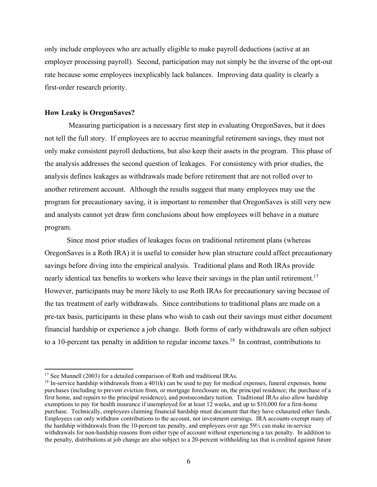only include employees who are actually eligible to make payroll deductions (active at an employer processing payroll). Second, participation may not simply be the inverse of the opt-out rate because some employees inexplicably lack balances. Improving data quality is clearly a first-order research priority.

## **How Leaky is OregonSaves?**

l

Measuring participation is a necessary first step in evaluating OregonSaves, but it does not tell the full story. If employees are to accrue meaningful retirement savings, they must not only make consistent payroll deductions, but also keep their assets in the program. This phase of the analysis addresses the second question of leakages. For consistency with prior studies, the analysis defines leakages as withdrawals made before retirement that are not rolled over to another retirement account. Although the results suggest that many employees may use the program for precautionary saving, it is important to remember that OregonSaves is still very new and analysts cannot yet draw firm conclusions about how employees will behave in a mature program.

Since most prior studies of leakages focus on traditional retirement plans (whereas OregonSaves is a Roth IRA) it is useful to consider how plan structure could affect precautionary savings before diving into the empirical analysis. Traditional plans and Roth IRAs provide nearly identical tax benefits to workers who leave their savings in the plan until retirement.<sup>17</sup> However, participants may be more likely to use Roth IRAs for precautionary saving because of the tax treatment of early withdrawals. Since contributions to traditional plans are made on a pre-tax basis, participants in these plans who wish to cash out their savings must either document financial hardship or experience a job change. Both forms of early withdrawals are often subject to a 10-percent tax penalty in addition to regular income taxes.<sup>18</sup> In contrast, contributions to

<sup>&</sup>lt;sup>17</sup> See Munnell (2003) for a detailed comparison of Roth and traditional IRAs.

<sup>&</sup>lt;sup>18</sup> In-service hardship withdrawals from a  $401(k)$  can be used to pay for medical expenses, funeral expenses, home purchases (including to prevent eviction from, or mortgage foreclosure on, the principal residence; the purchase of a first home, and repairs to the principal residence), and postsecondary tuition. Traditional IRAs also allow hardship exemptions to pay for health insurance if unemployed for at least 12 weeks, and up to \$10,000 for a first-home purchase. Technically, employees claiming financial hardship must document that they have exhausted other funds. Employees can only withdraw contributions to the account, not investment earnings. IRA accounts exempt many of the hardship withdrawals from the 10-percent tax penalty, and employees over age 59½ can make in-service withdrawals for non-hardship reasons from either type of account without experiencing a tax penalty. In addition to the penalty, distributions at job change are also subject to a 20-percent withholding tax that is credited against future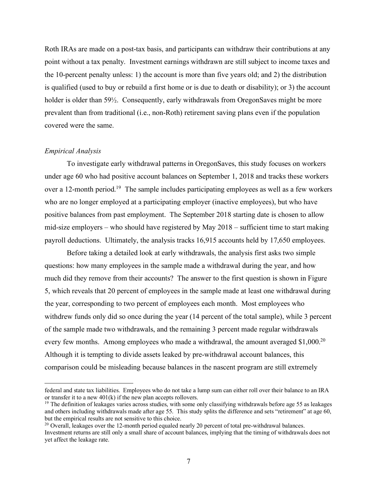Roth IRAs are made on a post-tax basis, and participants can withdraw their contributions at any point without a tax penalty. Investment earnings withdrawn are still subject to income taxes and the 10-percent penalty unless: 1) the account is more than five years old; and 2) the distribution is qualified (used to buy or rebuild a first home or is due to death or disability); or 3) the account holder is older than 59<sup>1</sup>/<sub>2</sub>. Consequently, early withdrawals from OregonSaves might be more prevalent than from traditional (i.e., non-Roth) retirement saving plans even if the population covered were the same.

## *Empirical Analysis*

 $\overline{a}$ 

To investigate early withdrawal patterns in OregonSaves, this study focuses on workers under age 60 who had positive account balances on September 1, 2018 and tracks these workers over a 12-month period.<sup>19</sup> The sample includes participating employees as well as a few workers who are no longer employed at a participating employer (inactive employees), but who have positive balances from past employment. The September 2018 starting date is chosen to allow mid-size employers – who should have registered by May 2018 – sufficient time to start making payroll deductions. Ultimately, the analysis tracks 16,915 accounts held by 17,650 employees.

Before taking a detailed look at early withdrawals, the analysis first asks two simple questions: how many employees in the sample made a withdrawal during the year, and how much did they remove from their accounts? The answer to the first question is shown in Figure 5, which reveals that 20 percent of employees in the sample made at least one withdrawal during the year, corresponding to two percent of employees each month. Most employees who withdrew funds only did so once during the year (14 percent of the total sample), while 3 percent of the sample made two withdrawals, and the remaining 3 percent made regular withdrawals every few months. Among employees who made a withdrawal, the amount averaged \$1,000.<sup>20</sup> Although it is tempting to divide assets leaked by pre-withdrawal account balances, this comparison could be misleading because balances in the nascent program are still extremely

federal and state tax liabilities. Employees who do not take a lump sum can either roll over their balance to an IRA or transfer it to a new 401(k) if the new plan accepts rollovers.

 $19$  The definition of leakages varies across studies, with some only classifying withdrawals before age 55 as leakages and others including withdrawals made after age 55. This study splits the difference and sets "retirement" at age 60, but the empirical results are not sensitive to this choice.

<sup>&</sup>lt;sup>20</sup> Overall, leakages over the 12-month period equaled nearly 20 percent of total pre-withdrawal balances. Investment returns are still only a small share of account balances, implying that the timing of withdrawals does not yet affect the leakage rate.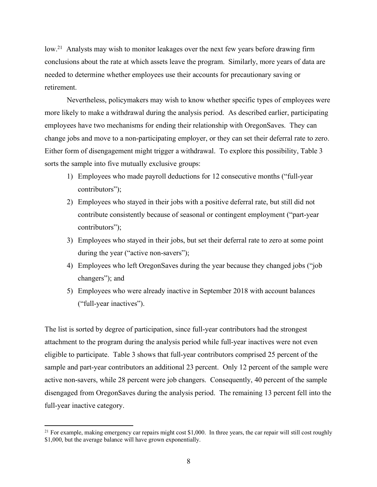low.<sup>21</sup> Analysts may wish to monitor leakages over the next few years before drawing firm conclusions about the rate at which assets leave the program. Similarly, more years of data are needed to determine whether employees use their accounts for precautionary saving or retirement.

Nevertheless, policymakers may wish to know whether specific types of employees were more likely to make a withdrawal during the analysis period. As described earlier, participating employees have two mechanisms for ending their relationship with OregonSaves. They can change jobs and move to a non-participating employer, or they can set their deferral rate to zero. Either form of disengagement might trigger a withdrawal. To explore this possibility, Table 3 sorts the sample into five mutually exclusive groups:

- 1) Employees who made payroll deductions for 12 consecutive months ("full-year contributors");
- 2) Employees who stayed in their jobs with a positive deferral rate, but still did not contribute consistently because of seasonal or contingent employment ("part-year contributors");
- 3) Employees who stayed in their jobs, but set their deferral rate to zero at some point during the year ("active non-savers");
- 4) Employees who left OregonSaves during the year because they changed jobs ("job changers"); and
- 5) Employees who were already inactive in September 2018 with account balances ("full-year inactives").

The list is sorted by degree of participation, since full-year contributors had the strongest attachment to the program during the analysis period while full-year inactives were not even eligible to participate. Table 3 shows that full-year contributors comprised 25 percent of the sample and part-year contributors an additional 23 percent. Only 12 percent of the sample were active non-savers, while 28 percent were job changers. Consequently, 40 percent of the sample disengaged from OregonSaves during the analysis period. The remaining 13 percent fell into the full-year inactive category.

l

 $21$  For example, making emergency car repairs might cost \$1,000. In three years, the car repair will still cost roughly \$1,000, but the average balance will have grown exponentially.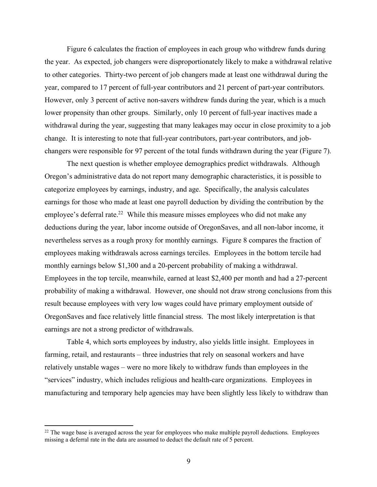Figure 6 calculates the fraction of employees in each group who withdrew funds during the year. As expected, job changers were disproportionately likely to make a withdrawal relative to other categories. Thirty-two percent of job changers made at least one withdrawal during the year, compared to 17 percent of full-year contributors and 21 percent of part-year contributors. However, only 3 percent of active non-savers withdrew funds during the year, which is a much lower propensity than other groups. Similarly, only 10 percent of full-year inactives made a withdrawal during the year, suggesting that many leakages may occur in close proximity to a job change. It is interesting to note that full-year contributors, part-year contributors, and jobchangers were responsible for 97 percent of the total funds withdrawn during the year (Figure 7).

The next question is whether employee demographics predict withdrawals. Although Oregon's administrative data do not report many demographic characteristics, it is possible to categorize employees by earnings, industry, and age. Specifically, the analysis calculates earnings for those who made at least one payroll deduction by dividing the contribution by the employee's deferral rate.<sup>22</sup> While this measure misses employees who did not make any deductions during the year, labor income outside of OregonSaves, and all non-labor income, it nevertheless serves as a rough proxy for monthly earnings. Figure 8 compares the fraction of employees making withdrawals across earnings terciles. Employees in the bottom tercile had monthly earnings below \$1,300 and a 20-percent probability of making a withdrawal. Employees in the top tercile, meanwhile, earned at least \$2,400 per month and had a 27-percent probability of making a withdrawal. However, one should not draw strong conclusions from this result because employees with very low wages could have primary employment outside of OregonSaves and face relatively little financial stress. The most likely interpretation is that earnings are not a strong predictor of withdrawals.

Table 4, which sorts employees by industry, also yields little insight. Employees in farming, retail, and restaurants – three industries that rely on seasonal workers and have relatively unstable wages – were no more likely to withdraw funds than employees in the "services" industry, which includes religious and health-care organizations. Employees in manufacturing and temporary help agencies may have been slightly less likely to withdraw than

l

<sup>&</sup>lt;sup>22</sup> The wage base is averaged across the year for employees who make multiple payroll deductions. Employees missing a deferral rate in the data are assumed to deduct the default rate of 5 percent.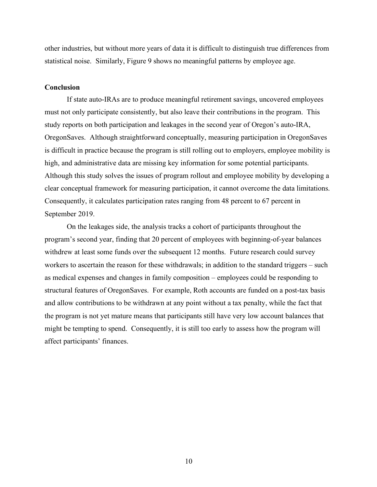other industries, but without more years of data it is difficult to distinguish true differences from statistical noise. Similarly, Figure 9 shows no meaningful patterns by employee age.

#### **Conclusion**

If state auto-IRAs are to produce meaningful retirement savings, uncovered employees must not only participate consistently, but also leave their contributions in the program. This study reports on both participation and leakages in the second year of Oregon's auto-IRA, OregonSaves. Although straightforward conceptually, measuring participation in OregonSaves is difficult in practice because the program is still rolling out to employers, employee mobility is high, and administrative data are missing key information for some potential participants. Although this study solves the issues of program rollout and employee mobility by developing a clear conceptual framework for measuring participation, it cannot overcome the data limitations. Consequently, it calculates participation rates ranging from 48 percent to 67 percent in September 2019.

On the leakages side, the analysis tracks a cohort of participants throughout the program's second year, finding that 20 percent of employees with beginning-of-year balances withdrew at least some funds over the subsequent 12 months. Future research could survey workers to ascertain the reason for these withdrawals; in addition to the standard triggers – such as medical expenses and changes in family composition – employees could be responding to structural features of OregonSaves. For example, Roth accounts are funded on a post-tax basis and allow contributions to be withdrawn at any point without a tax penalty, while the fact that the program is not yet mature means that participants still have very low account balances that might be tempting to spend. Consequently, it is still too early to assess how the program will affect participants' finances.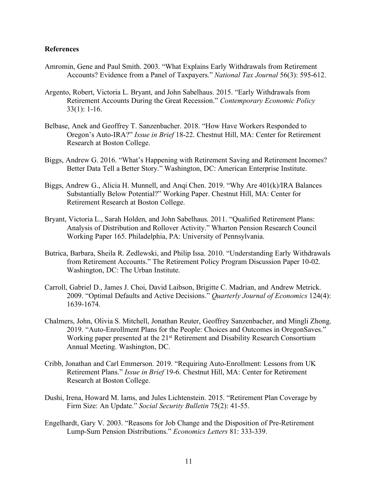### **References**

- Amromin, Gene and Paul Smith. 2003. "What Explains Early Withdrawals from Retirement Accounts? Evidence from a Panel of Taxpayers." *National Tax Journal* 56(3): 595-612.
- Argento, Robert, Victoria L. Bryant, and John Sabelhaus. 2015. "Early Withdrawals from Retirement Accounts During the Great Recession." *Contemporary Economic Policy*  33(1): 1-16.
- Belbase, Anek and Geoffrey T. Sanzenbacher. 2018. "How Have Workers Responded to Oregon's Auto-IRA?" *Issue in Brief* 18-22. Chestnut Hill, MA: Center for Retirement Research at Boston College.
- Biggs, Andrew G. 2016. "What's Happening with Retirement Saving and Retirement Incomes? Better Data Tell a Better Story." Washington, DC: American Enterprise Institute.
- Biggs, Andrew G., Alicia H. Munnell, and Anqi Chen. 2019. "Why Are 401(k)/IRA Balances Substantially Below Potential?" Working Paper. Chestnut Hill, MA: Center for Retirement Research at Boston College.
- Bryant, Victoria L., Sarah Holden, and John Sabelhaus. 2011. "Qualified Retirement Plans: Analysis of Distribution and Rollover Activity." Wharton Pension Research Council Working Paper 165. Philadelphia, PA: University of Pennsylvania.
- Butrica, Barbara, Sheila R. Zedlewski, and Philip Issa. 2010. "Understanding Early Withdrawals from Retirement Accounts." The Retirement Policy Program Discussion Paper 10-02. Washington, DC: The Urban Institute.
- Carroll, Gabriel D., James J. Choi, David Laibson, Brigitte C. Madrian, and Andrew Metrick. 2009. "Optimal Defaults and Active Decisions." *Quarterly Journal of Economics* 124(4): 1639-1674.
- Chalmers, John, Olivia S. Mitchell, Jonathan Reuter, Geoffrey Sanzenbacher, and Mingli Zhong. 2019. "Auto-Enrollment Plans for the People: Choices and Outcomes in OregonSaves." Working paper presented at the 21<sup>st</sup> Retirement and Disability Research Consortium Annual Meeting. Washington, DC.
- Cribb, Jonathan and Carl Emmerson. 2019. "Requiring Auto-Enrollment: Lessons from UK Retirement Plans." *Issue in Brief* 19-6. Chestnut Hill, MA: Center for Retirement Research at Boston College.
- Dushi, Irena, Howard M. Iams, and Jules Lichtenstein. 2015. "Retirement Plan Coverage by Firm Size: An Update." *Social Security Bulletin* 75(2): 41-55.
- Engelhardt, Gary V. 2003. "Reasons for Job Change and the Disposition of Pre-Retirement Lump-Sum Pension Distributions." *Economics Letters* 81: 333-339.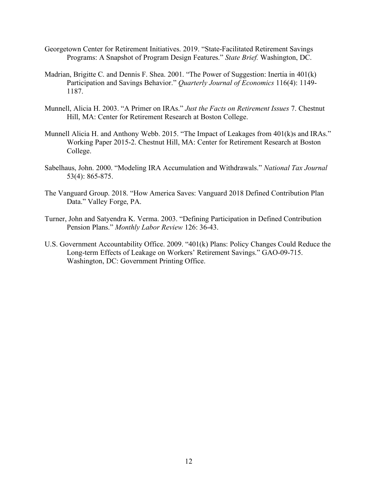- Georgetown Center for Retirement Initiatives. 2019. "State-Facilitated Retirement Savings Programs: A Snapshot of Program Design Features." *State Brief.* Washington, DC.
- Madrian, Brigitte C. and Dennis F. Shea. 2001. "The Power of Suggestion: Inertia in 401(k) Participation and Savings Behavior." *Quarterly Journal of Economics* 116(4): 1149- 1187.
- Munnell, Alicia H. 2003. "A Primer on IRAs." *Just the Facts on Retirement Issues* 7. Chestnut Hill, MA: Center for Retirement Research at Boston College.
- Munnell Alicia H. and Anthony Webb. 2015. "The Impact of Leakages from 401(k)s and IRAs." Working Paper 2015-2. Chestnut Hill, MA: Center for Retirement Research at Boston College.
- Sabelhaus, John. 2000. "Modeling IRA Accumulation and Withdrawals." *National Tax Journal*  53(4): 865-875.
- The Vanguard Group. 2018. "How America Saves: Vanguard 2018 Defined Contribution Plan Data." Valley Forge, PA.
- Turner, John and Satyendra K. Verma. 2003. "Defining Participation in Defined Contribution Pension Plans." *Monthly Labor Review* 126: 36-43.
- U.S. Government Accountability Office. 2009. "401(k) Plans: Policy Changes Could Reduce the Long-term Effects of Leakage on Workers' Retirement Savings." GAO-09-715. Washington, DC: Government Printing Office.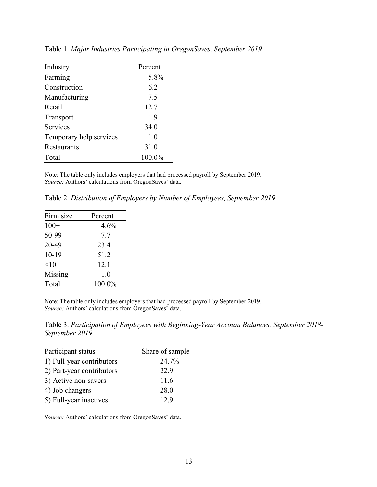| Industry                | Percent |
|-------------------------|---------|
| Farming                 | 5.8%    |
| Construction            | 6.2     |
| Manufacturing           | 7.5     |
| Retail                  | 12.7    |
| Transport               | 19      |
| <b>Services</b>         | 34.0    |
| Temporary help services | 1.0     |
| Restaurants             | 31.0    |
| Total                   | 100.0%  |
|                         |         |

Table 1. *Major Industries Participating in OregonSaves, September 2019*

Note: The table only includes employers that had processed payroll by September 2019. *Source:* Authors' calculations from OregonSaves' data.

Table 2. *Distribution of Employers by Number of Employees, September 2019*

| Firm size | Percent |
|-----------|---------|
| $100+$    | 4.6%    |
| 50-99     | 7.7     |
| 20-49     | 23.4    |
| 10-19     | 51.2    |
| <10       | 12.1    |
| Missing   | 1.0     |
| Total     | 100.0%  |
|           |         |

Note: The table only includes employers that had processed payroll by September 2019. *Source:* Authors' calculations from OregonSaves' data.

Table 3. *Participation of Employees with Beginning-Year Account Balances, September 2018- September 2019*

| Participant status        | Share of sample |
|---------------------------|-----------------|
| 1) Full-year contributors | 24.7%           |
| 2) Part-year contributors | 22.9            |
| 3) Active non-savers      | 11.6            |
| 4) Job changers           | 28.0            |
| 5) Full-year inactives    | 12.9            |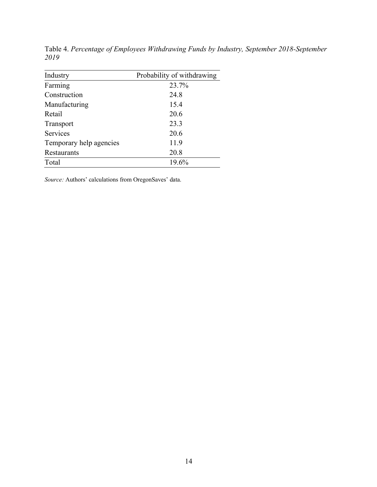| Industry                | Probability of withdrawing |
|-------------------------|----------------------------|
| Farming                 | 23.7%                      |
| Construction            | 24.8                       |
| Manufacturing           | 15.4                       |
| Retail                  | 20.6                       |
| Transport               | 23.3                       |
| <b>Services</b>         | 20.6                       |
| Temporary help agencies | 11.9                       |
| Restaurants             | 20.8                       |
| Total                   | 19.6%                      |

Table 4. *Percentage of Employees Withdrawing Funds by Industry, September 2018-September 2019*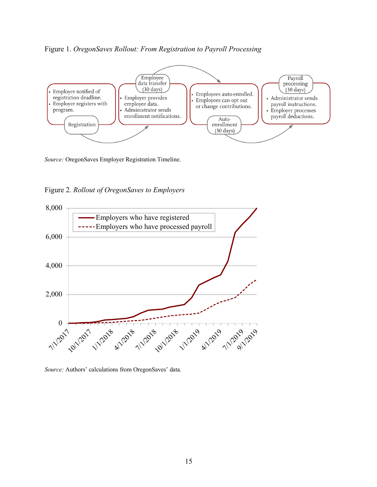## Figure 1. *OregonSaves Rollout: From Registration to Payroll Processing*



*Source:* OregonSaves Employer Registration Timeline.

Figure 2. *Rollout of OregonSaves to Employers*



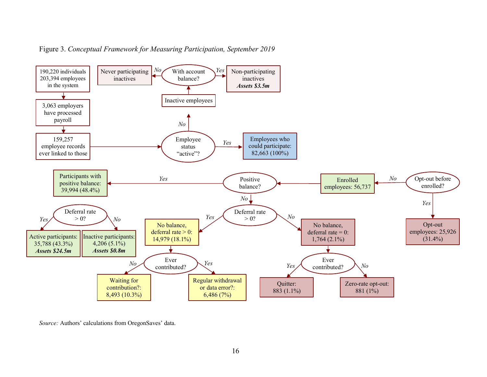

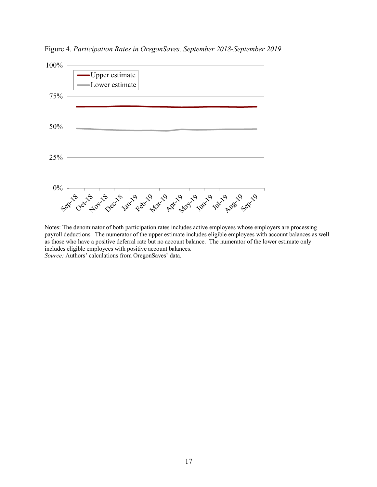Figure 4. *Participation Rates in OregonSaves, September 2018-September 2019*



Notes: The denominator of both participation rates includes active employees whose employers are processing payroll deductions. The numerator of the upper estimate includes eligible employees with account balances as well as those who have a positive deferral rate but no account balance. The numerator of the lower estimate only includes eligible employees with positive account balances. *Source:* Authors' calculations from OregonSaves' data.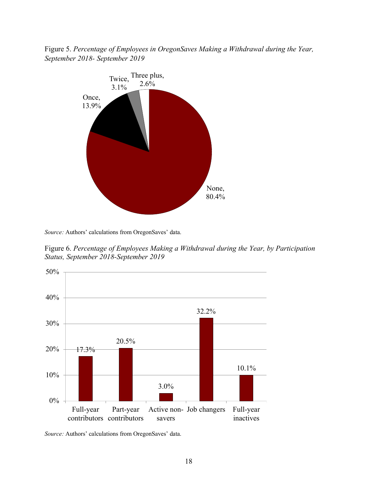Figure 5. *Percentage of Employees in OregonSaves Making a Withdrawal during the Year, September 2018- September 2019*

![](_page_20_Figure_1.jpeg)

*Source:* Authors' calculations from OregonSaves' data.

Figure 6. *Percentage of Employees Making a Withdrawal during the Year, by Participation Status, September 2018-September 2019*

![](_page_20_Figure_4.jpeg)

*Source:* Authors' calculations from OregonSaves' data.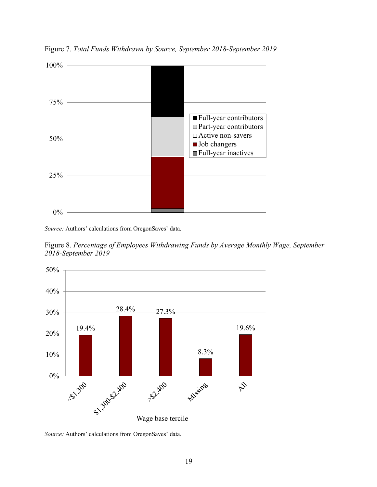Figure 7. *Total Funds Withdrawn by Source, September 2018-September 2019* 100%

![](_page_21_Figure_1.jpeg)

Figure 8. *Percentage of Employees Withdrawing Funds by Average Monthly Wage, September 2018-September 2019*

![](_page_21_Figure_4.jpeg)

![](_page_21_Figure_5.jpeg)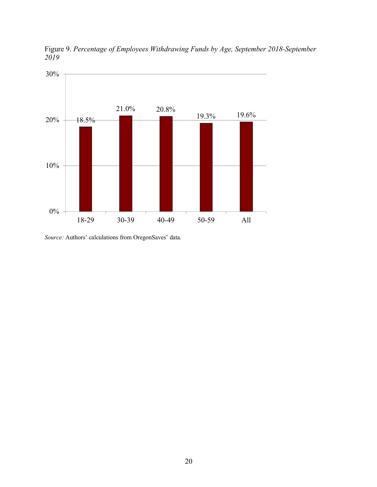![](_page_22_Figure_0.jpeg)

Figure 9. *Percentage of Employees Withdrawing Funds by Age, September 2018-September 2019*